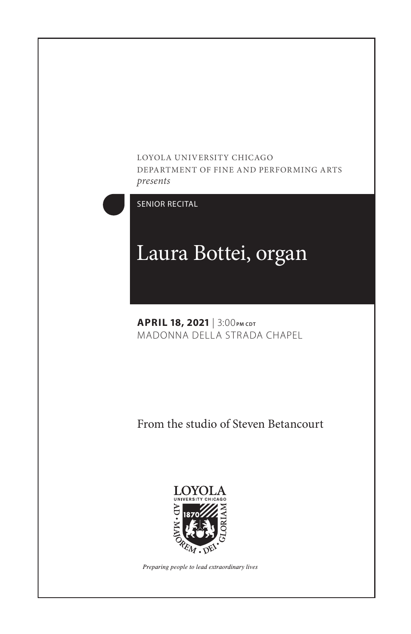#### LOYOLA UNIVERSITY CHICAGO DEPARTMENT OF FINE AND PERFORMING ARTS *presents*



SENIOR RECITAL

# Laura Bottei, organ

**APRIL 18, 2021** | 3:00 **PM CDT** MADONNA DELLA STRADA CHAPEL

From the studio of Steven Betancourt



Preparing people to lead extraordinary lives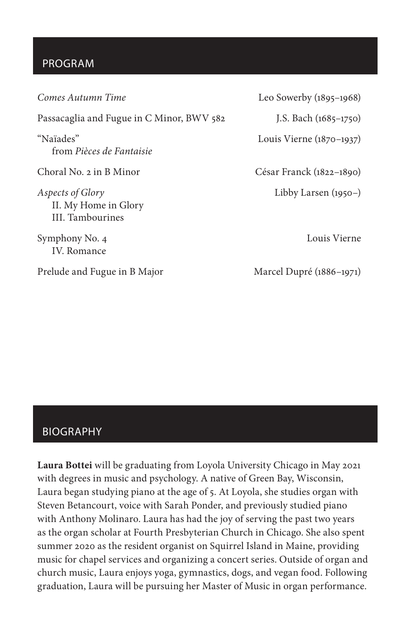# PROGRAM

*Comes Autumn Time* Leo Sowerby (1895–1968) Passacaglia and Fugue in C Minor, BWV 582 J.S. Bach (1685-1750) "Naïades" Louis Vierne (1870–1937) from *Pièces de Fantaisie* Choral No. 2 in B Minor César Franck (1822–1890) *Aspects of Glory* Libby Larsen (1950–) II. My Home in Glory III. Tambourines Symphony No. 4 Louis Vierne IV. Romance Prelude and Fugue in B Major Marcel Dupré (1886-1971)

## BIOGRAPHY

**Laura Bottei** will be graduating from Loyola University Chicago in May 2021 with degrees in music and psychology. A native of Green Bay, Wisconsin, Laura began studying piano at the age of 5. At Loyola, she studies organ with Steven Betancourt, voice with Sarah Ponder, and previously studied piano with Anthony Molinaro. Laura has had the joy of serving the past two years as the organ scholar at Fourth Presbyterian Church in Chicago. She also spent summer 2020 as the resident organist on Squirrel Island in Maine, providing music for chapel services and organizing a concert series. Outside of organ and church music, Laura enjoys yoga, gymnastics, dogs, and vegan food. Following graduation, Laura will be pursuing her Master of Music in organ performance.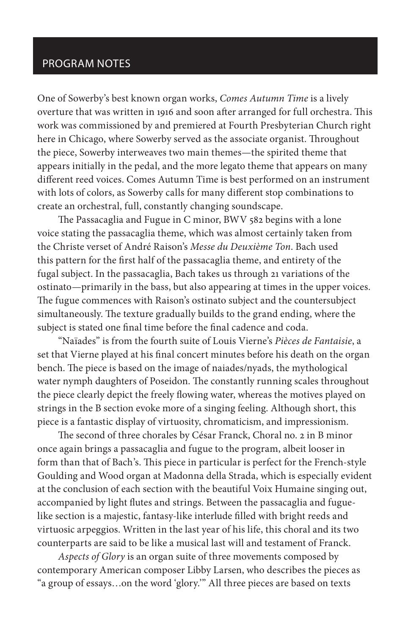# PROGRAM NOTES

One of Sowerby's best known organ works, *Comes Autumn Time* is a lively overture that was written in 1916 and soon after arranged for full orchestra. This work was commissioned by and premiered at Fourth Presbyterian Church right here in Chicago, where Sowerby served as the associate organist. Throughout the piece, Sowerby interweaves two main themes—the spirited theme that appears initially in the pedal, and the more legato theme that appears on many different reed voices. Comes Autumn Time is best performed on an instrument with lots of colors, as Sowerby calls for many different stop combinations to create an orchestral, full, constantly changing soundscape.

The Passacaglia and Fugue in C minor, BWV 582 begins with a lone voice stating the passacaglia theme, which was almost certainly taken from the Christe verset of André Raison's *Messe du Deuxième Ton*. Bach used this pattern for the first half of the passacaglia theme, and entirety of the fugal subject. In the passacaglia, Bach takes us through 21 variations of the ostinato—primarily in the bass, but also appearing at times in the upper voices. The fugue commences with Raison's ostinato subject and the countersubject simultaneously. The texture gradually builds to the grand ending, where the subject is stated one final time before the final cadence and coda.

"Naïades" is from the fourth suite of Louis Vierne's *Pièces de Fantaisie*, a set that Vierne played at his final concert minutes before his death on the organ bench. The piece is based on the image of naiades/nyads, the mythological water nymph daughters of Poseidon. The constantly running scales throughout the piece clearly depict the freely flowing water, whereas the motives played on strings in the B section evoke more of a singing feeling. Although short, this piece is a fantastic display of virtuosity, chromaticism, and impressionism.

The second of three chorales by César Franck, Choral no. 2 in B minor once again brings a passacaglia and fugue to the program, albeit looser in form than that of Bach's. This piece in particular is perfect for the French-style Goulding and Wood organ at Madonna della Strada, which is especially evident at the conclusion of each section with the beautiful Voix Humaine singing out, accompanied by light flutes and strings. Between the passacaglia and fuguelike section is a majestic, fantasy-like interlude filled with bright reeds and virtuosic arpeggios. Written in the last year of his life, this choral and its two counterparts are said to be like a musical last will and testament of Franck.

*Aspects of Glory* is an organ suite of three movements composed by contemporary American composer Libby Larsen, who describes the pieces as "a group of essays…on the word 'glory.'" All three pieces are based on texts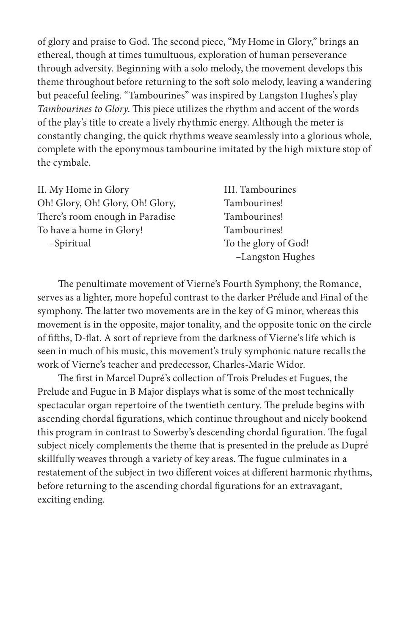of glory and praise to God. The second piece, "My Home in Glory," brings an ethereal, though at times tumultuous, exploration of human perseverance through adversity. Beginning with a solo melody, the movement develops this theme throughout before returning to the soft solo melody, leaving a wandering but peaceful feeling. "Tambourines" was inspired by Langston Hughes's play *Tambourines to Glory*. This piece utilizes the rhythm and accent of the words of the play's title to create a lively rhythmic energy. Although the meter is constantly changing, the quick rhythms weave seamlessly into a glorious whole, complete with the eponymous tambourine imitated by the high mixture stop of the cymbale.

| II. My Home in Glory             | III. Tambourines     |
|----------------------------------|----------------------|
| Oh! Glory, Oh! Glory, Oh! Glory, | Tambourines!         |
| There's room enough in Paradise  | Tambourines!         |
| To have a home in Glory!         | Tambourines!         |
| -Spiritual                       | To the glory of God! |
|                                  | -Langston Hughes     |

The penultimate movement of Vierne's Fourth Symphony, the Romance, serves as a lighter, more hopeful contrast to the darker Prélude and Final of the symphony. The latter two movements are in the key of G minor, whereas this movement is in the opposite, major tonality, and the opposite tonic on the circle of fifths, D-flat. A sort of reprieve from the darkness of Vierne's life which is seen in much of his music, this movement's truly symphonic nature recalls the work of Vierne's teacher and predecessor, Charles-Marie Widor.

The first in Marcel Dupré's collection of Trois Preludes et Fugues, the Prelude and Fugue in B Major displays what is some of the most technically spectacular organ repertoire of the twentieth century. The prelude begins with ascending chordal figurations, which continue throughout and nicely bookend this program in contrast to Sowerby's descending chordal figuration. The fugal subject nicely complements the theme that is presented in the prelude as Dupré skillfully weaves through a variety of key areas. The fugue culminates in a restatement of the subject in two different voices at different harmonic rhythms, before returning to the ascending chordal figurations for an extravagant, exciting ending.